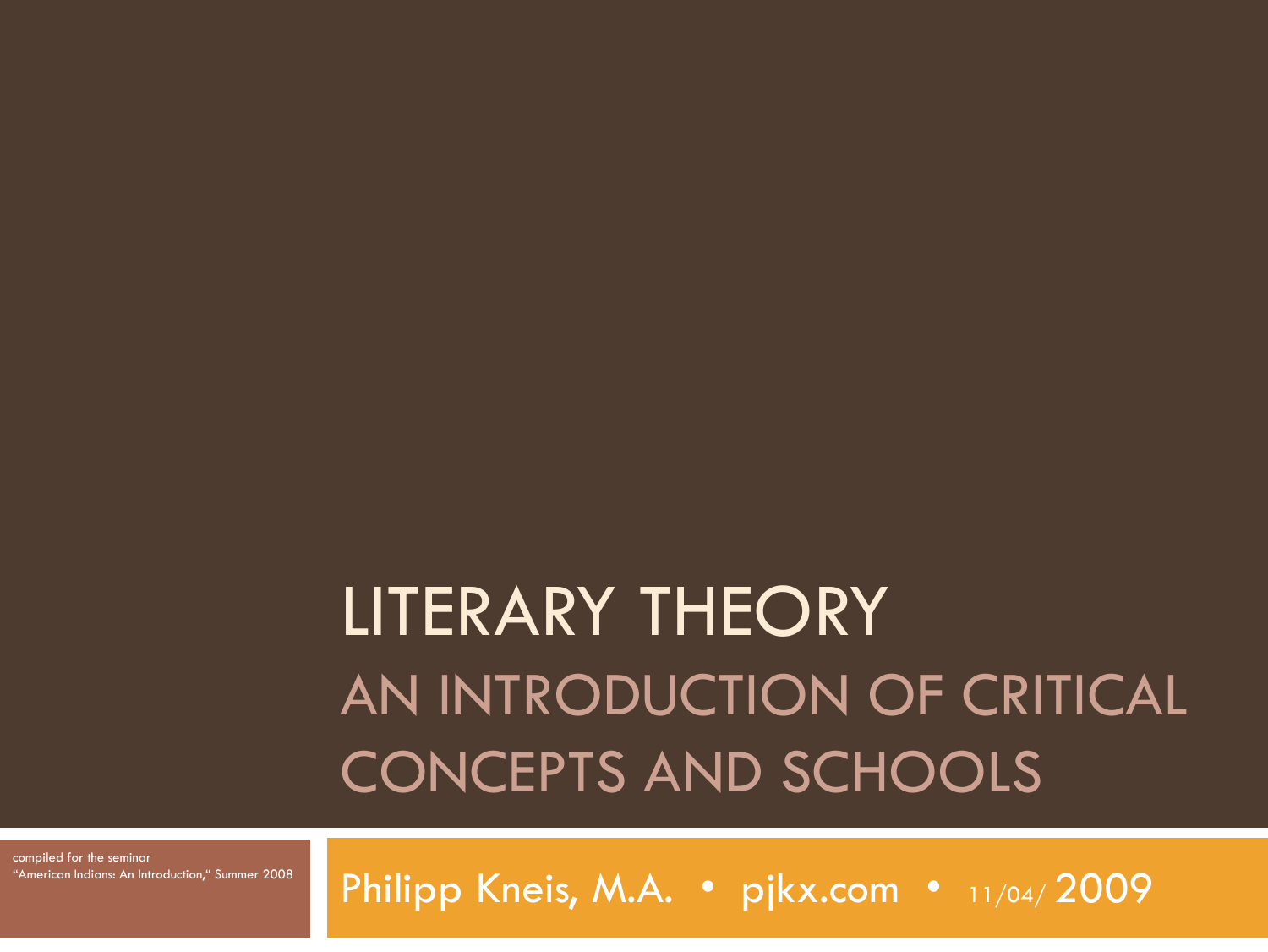# LITERARY THEORY AN INTRODUCTION OF CRITICAL CONCEPTS AND SCHOOLS

compiled for the seminar "American Indians: An Introduction," Summer 2008

Philipp Kneis, M.A. · pjkx.com · 11/04/2009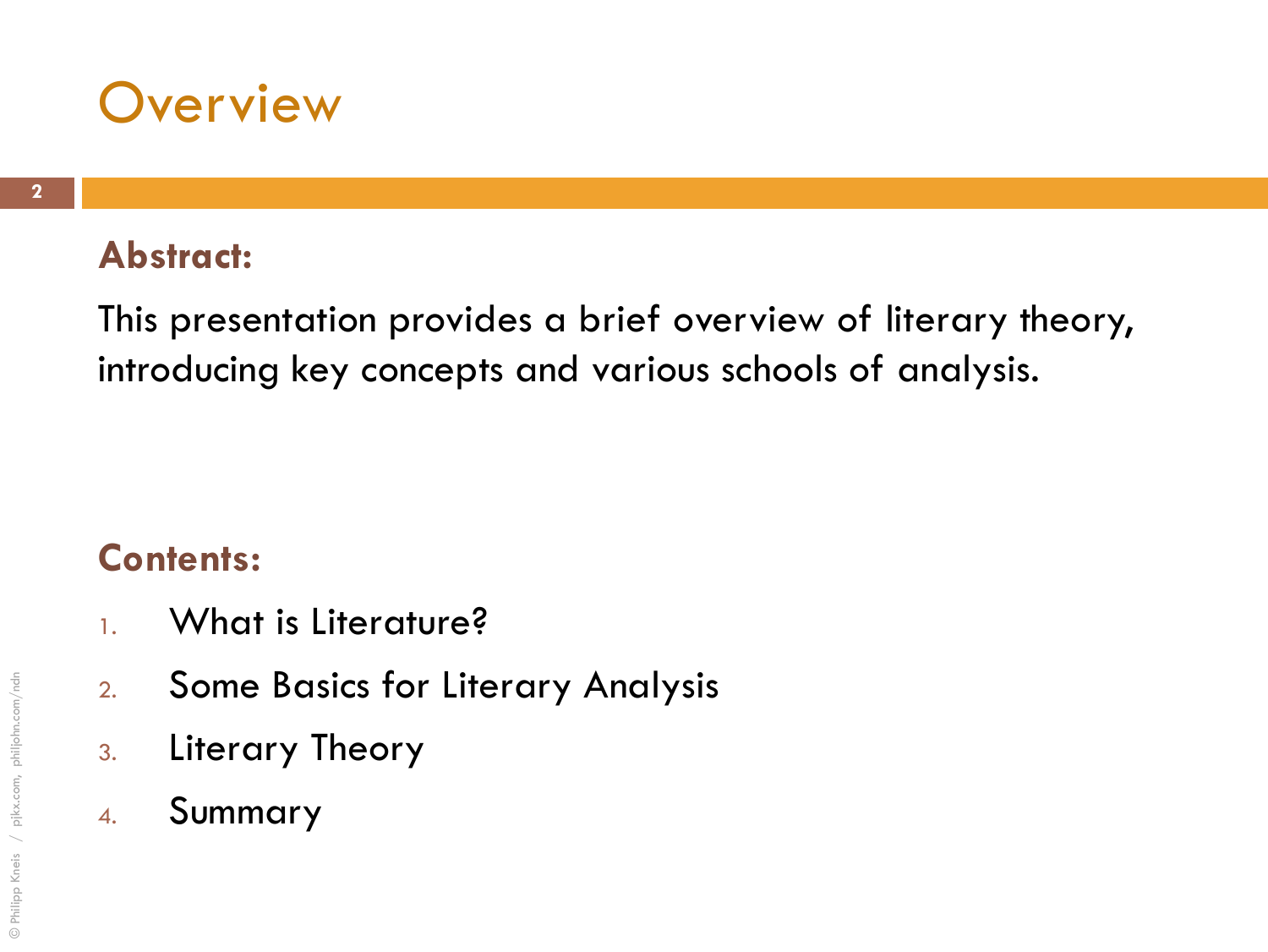

#### **Abstract:**

This presentation provides a brief overview of literary theory, introducing key concepts and various schools of analysis.

#### **Contents:**

- 1. What is Literature?
- 2. Some Basics for Literary Analysis
- 3. Literary Theory
- 4. Summary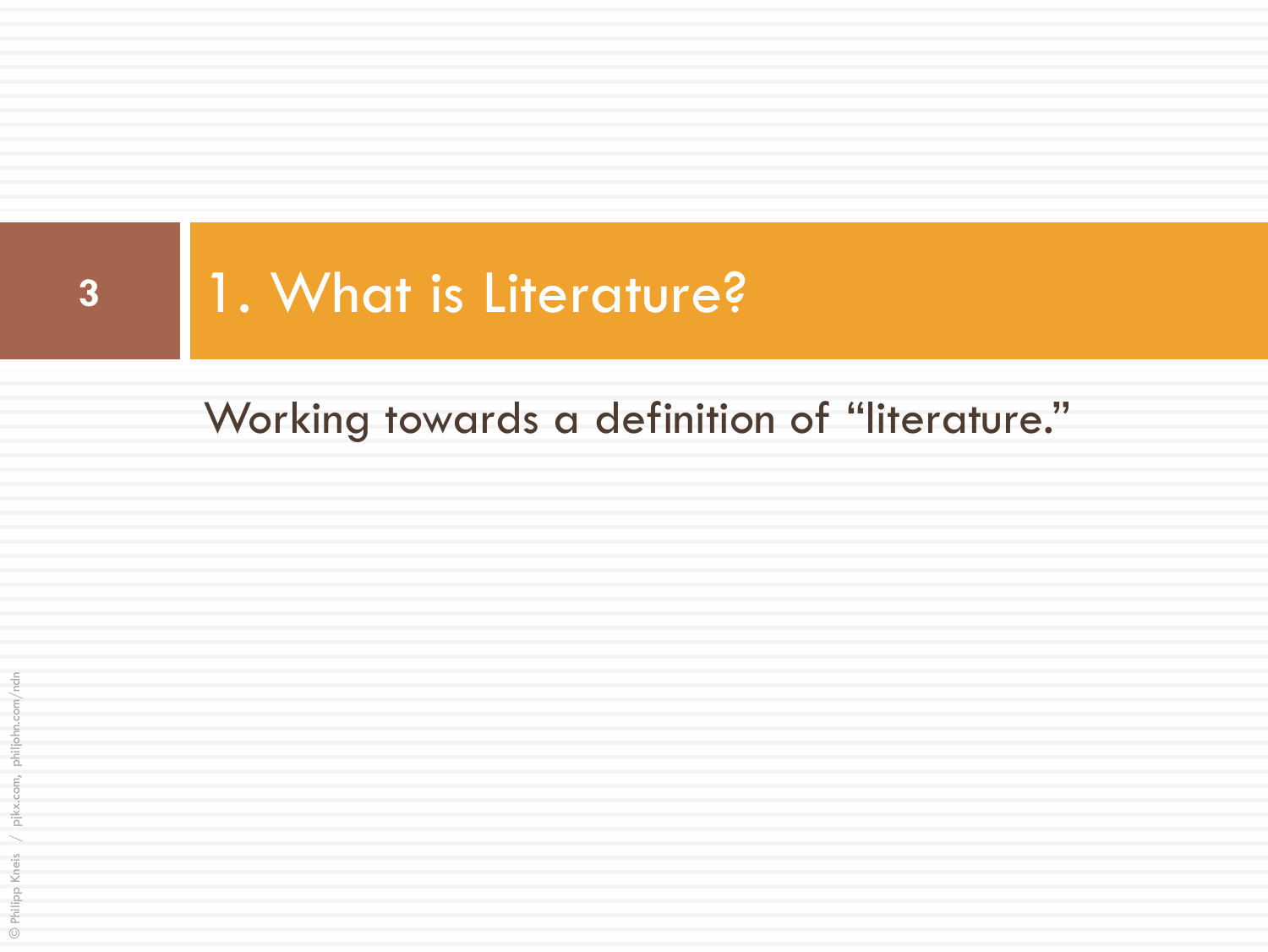

### Working towards a definition of "literature."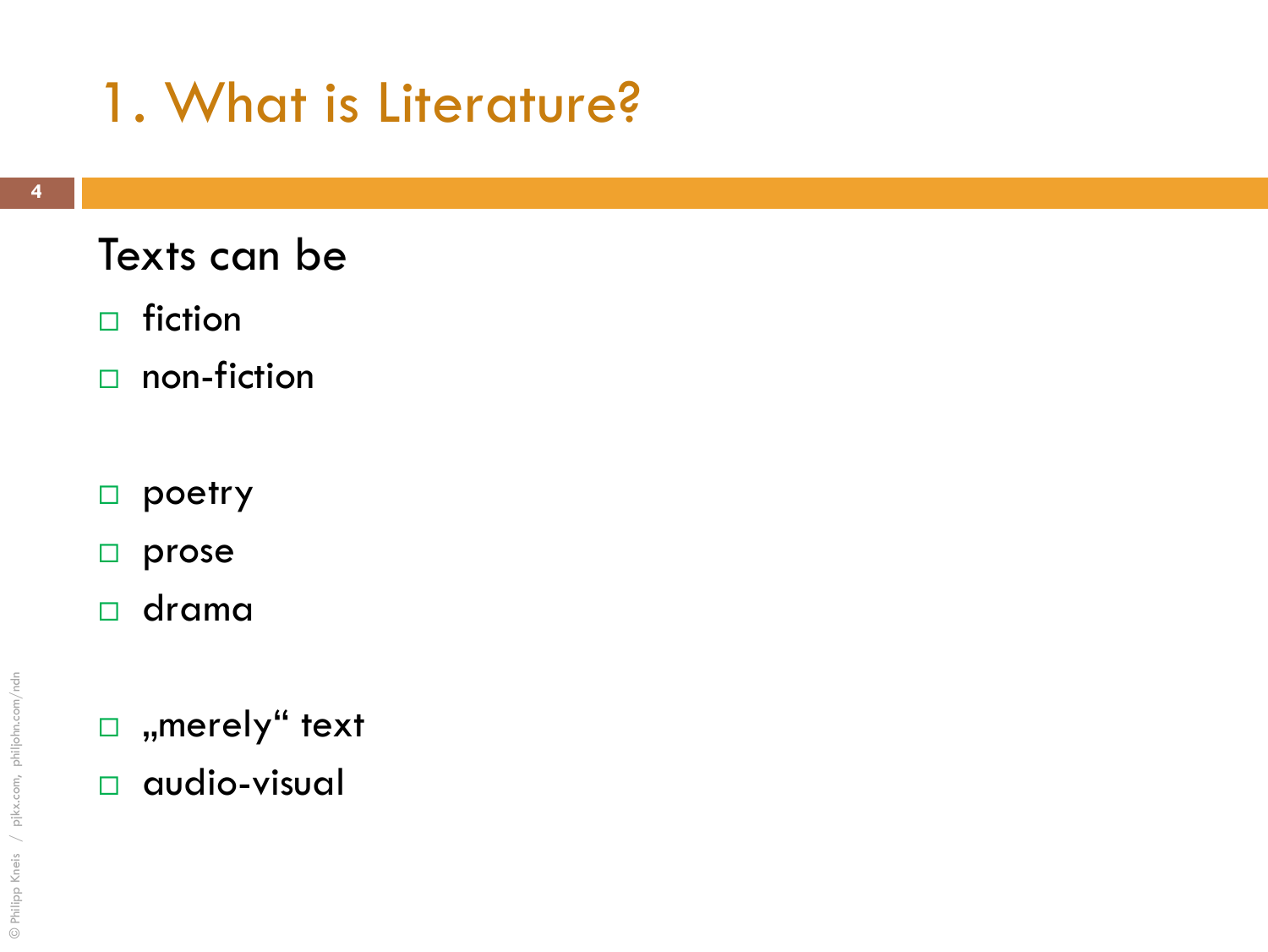### Texts can be

- $\Box$  fiction
- $\Box$  non-fiction
- poetry
- $\square$  prose
- drama
- $\Box$ , merely" text
- audio-visual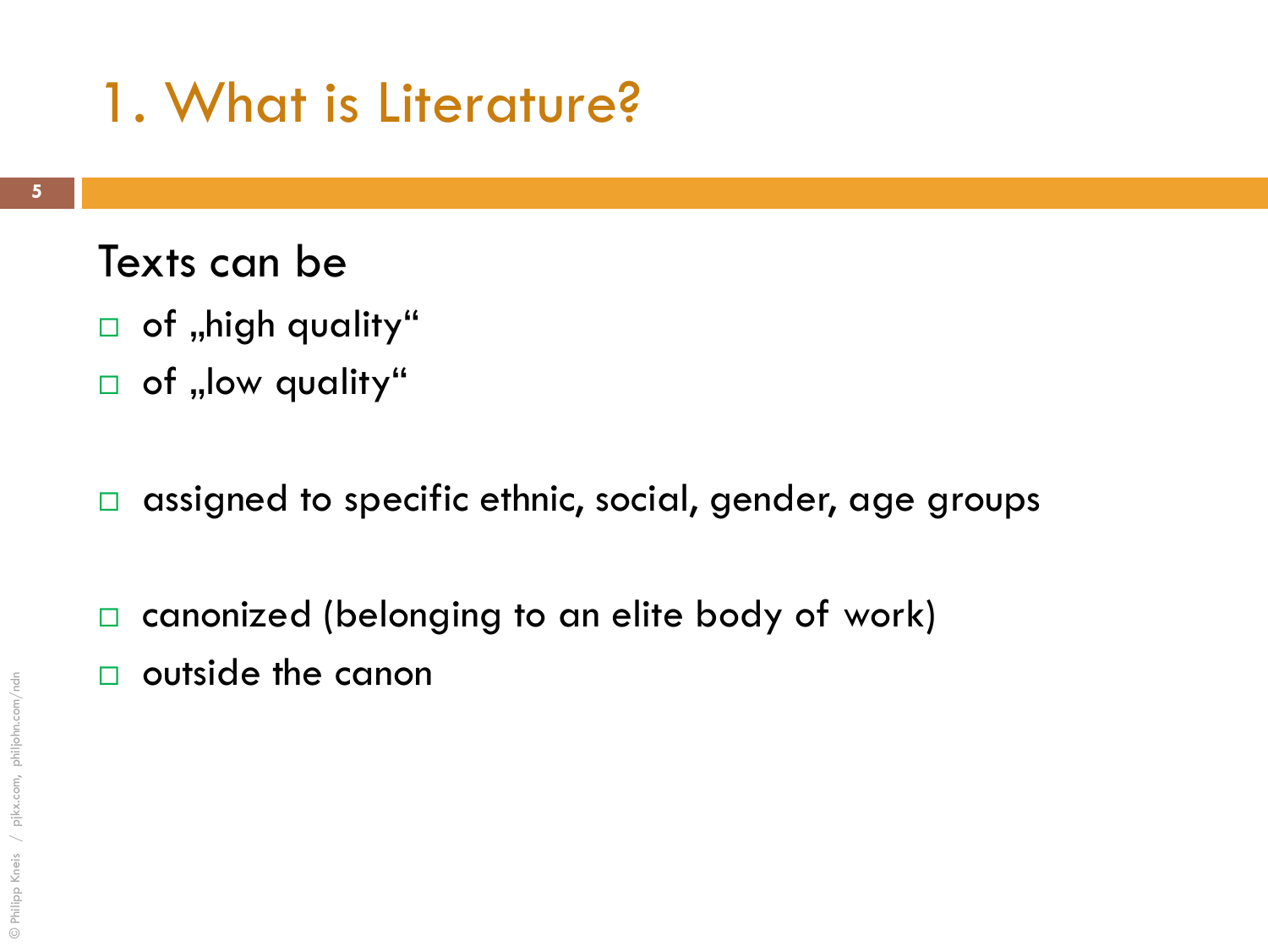#### Texts can be

- $\Box$  of "high quality"
- $\Box$  of "low quality"
- $\Box$  assigned to specific ethnic, social, gender, age groups
- □ canonized (belonging to an elite body of work)
- outside the canon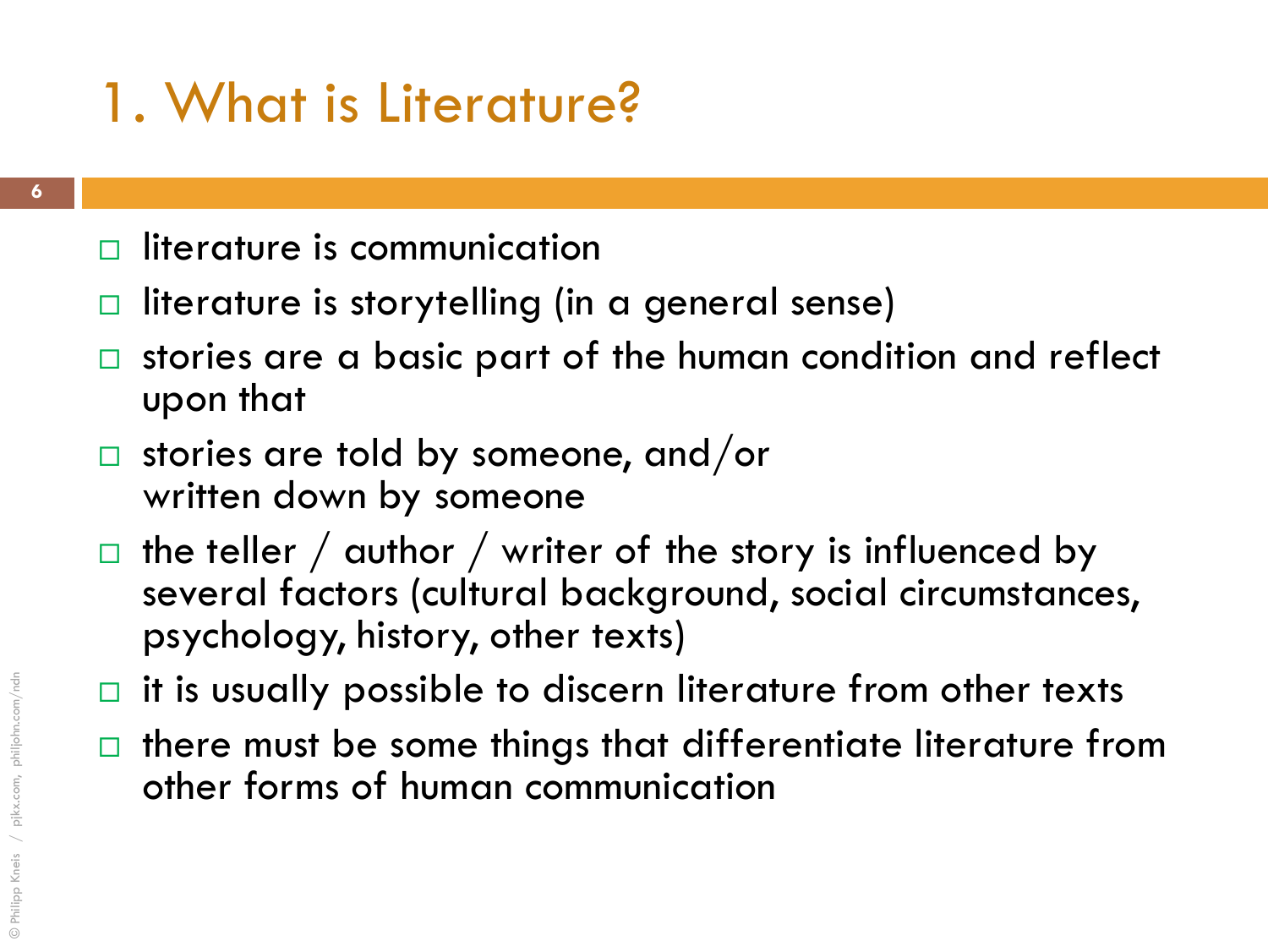- $\Box$  literature is communication
- literature is storytelling (in a general sense)
- $\Box$  stories are a basic part of the human condition and reflect upon that
- $\Box$  stories are told by someone, and/or written down by someone
- the teller  $/$  author  $/$  writer of the story is influenced by several factors (cultural background, social circumstances, psychology, history, other texts)
- $\Box$  it is usually possible to discern literature from other texts
- $\Box$  there must be some things that differentiate literature from other forms of human communication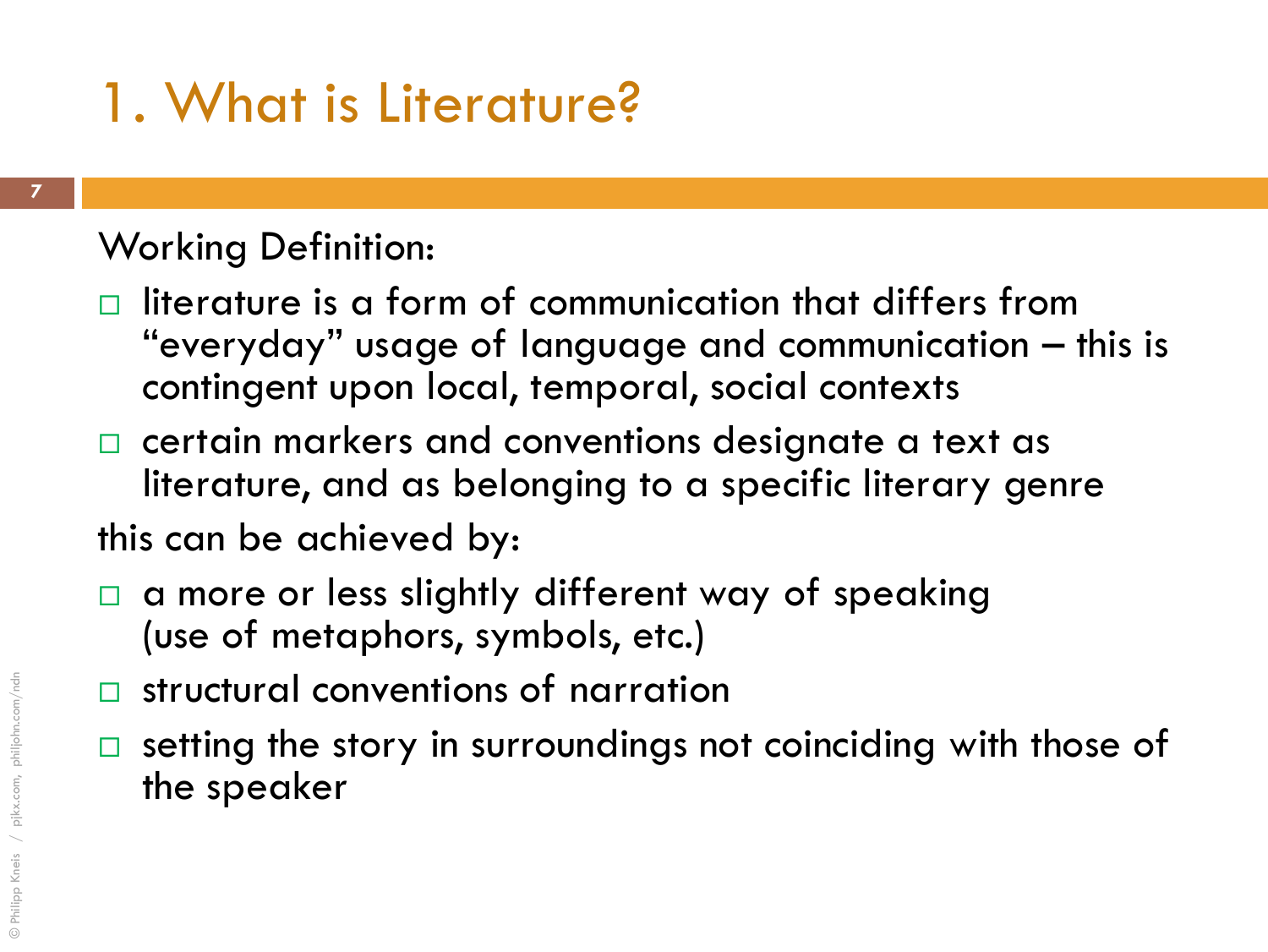#### Working Definition:

- $\Box$  literature is a form of communication that differs from "everyday" usage of language and communication – this is contingent upon local, temporal, social contexts
- $\Box$  certain markers and conventions designate a text as literature, and as belonging to a specific literary genre

this can be achieved by:

- a more or less slightly different way of speaking (use of metaphors, symbols, etc.)
- □ structural conventions of narration
- $\square$  setting the story in surroundings not coinciding with those of the speaker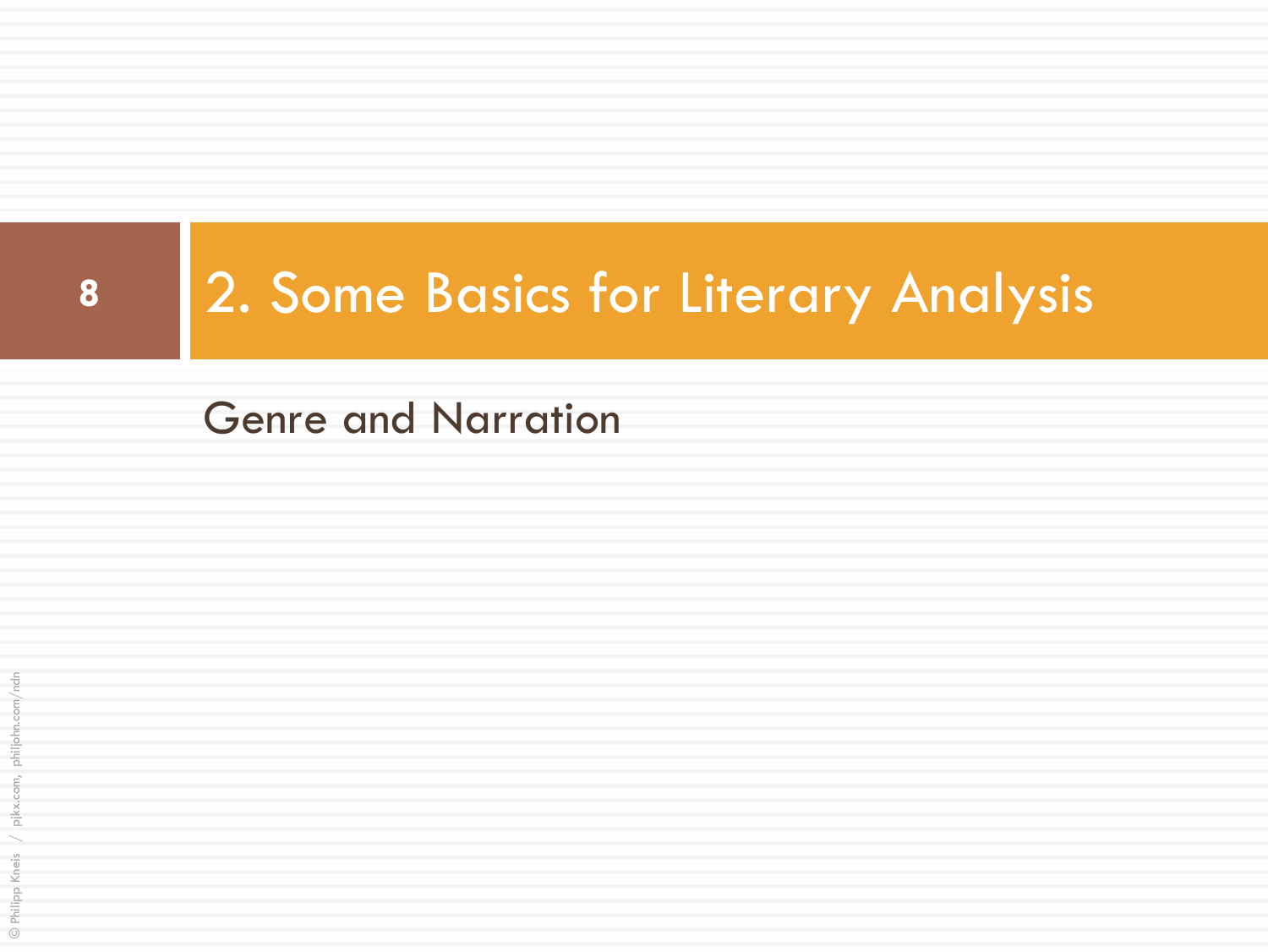

# **<sup>8</sup>** 2. Some Basics for Literary Analysis

Genre and Narration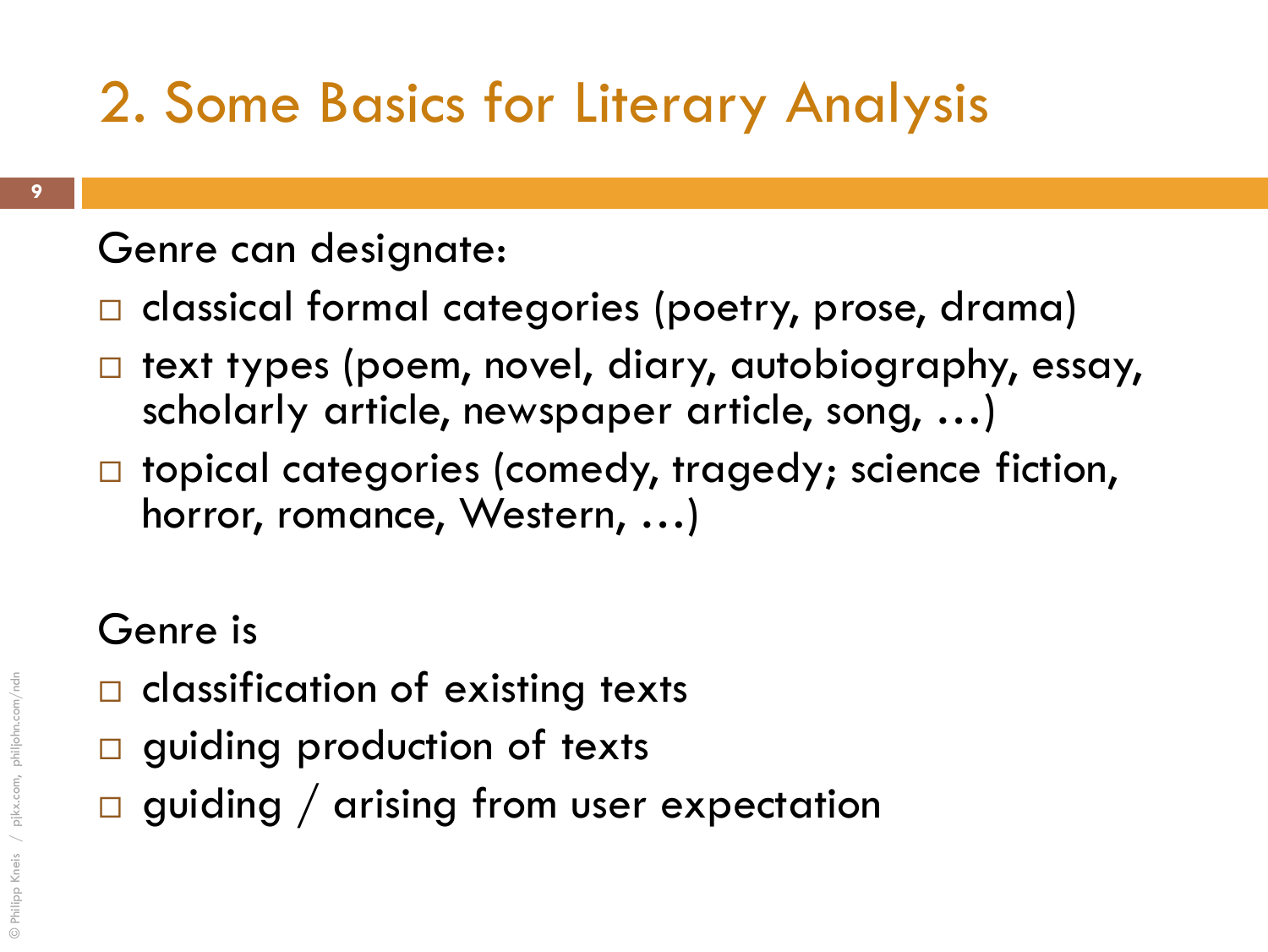## 2. Some Basics for Literary Analysis

### Genre can designate:

- □ classical formal categories (poetry, prose, drama)
- text types (poem, novel, diary, autobiography, essay, scholarly article, newspaper article, song, …)
- □ topical categories (comedy, tragedy; science fiction, horror, romance, Western, …)

### Genre is

- $\Box$  classification of existing texts
- **guiding production of texts**
- $\Box$  guiding / arising from user expectation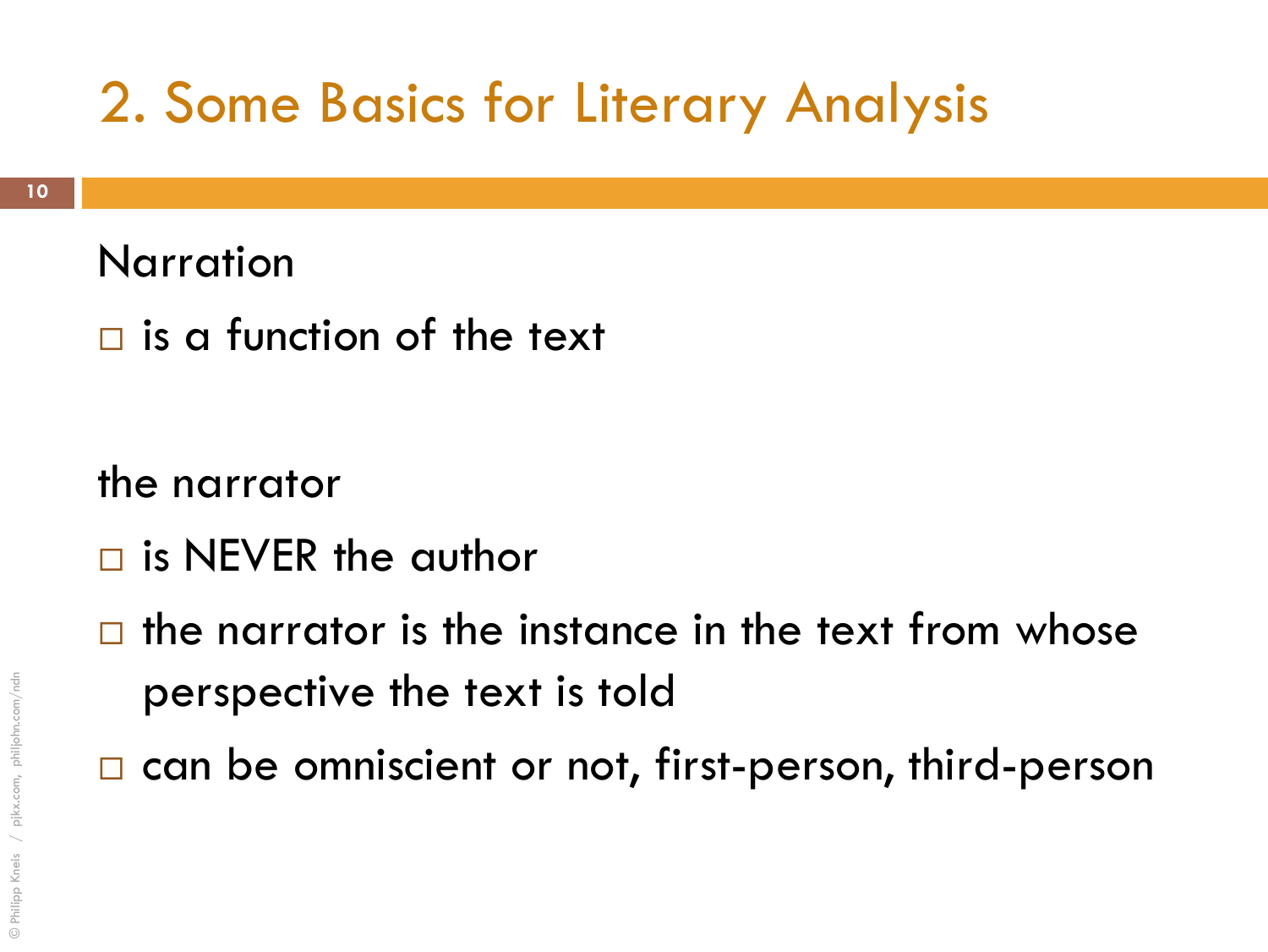### 2. Some Basics for Literary Analysis

#### Narration

 $\Box$  is a function of the text

the narrator

- $\Box$  is NEVER the author
- $\Box$  the narrator is the instance in the text from whose perspective the text is told
- □ can be omniscient or not, first-person, third-person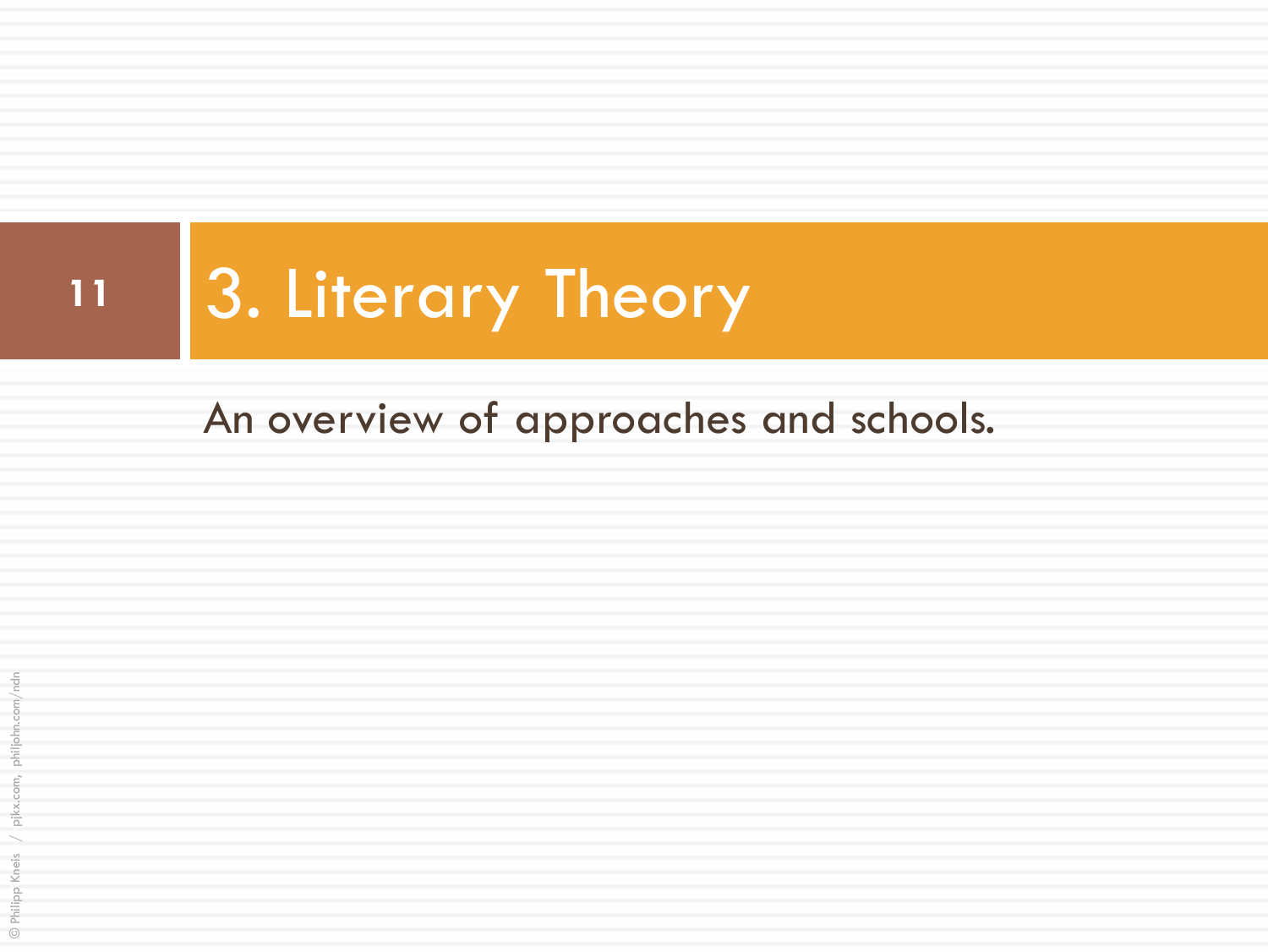# 11 3. Literary Theory

### An overview of approaches and schools.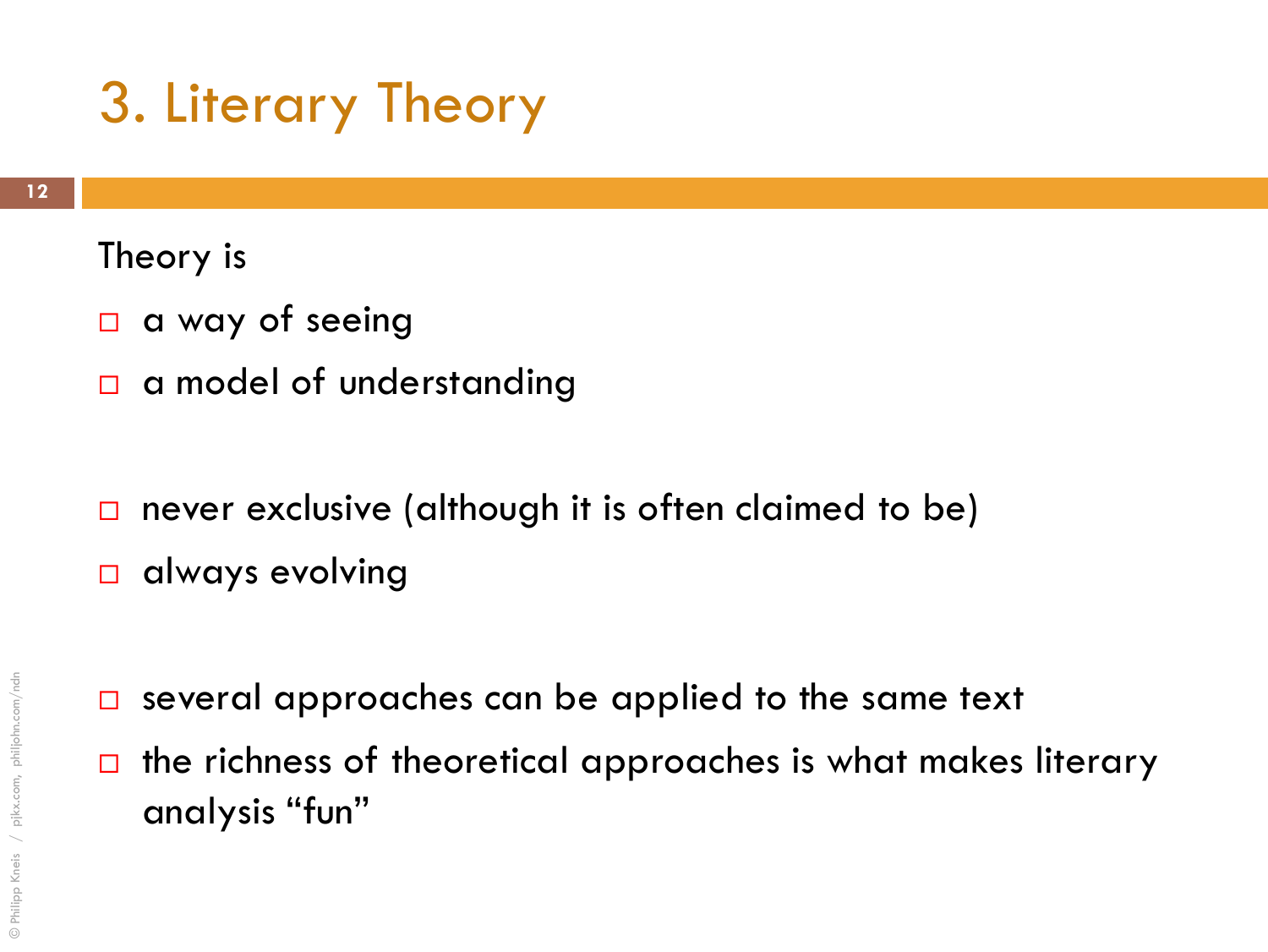### 3. Literary Theory

#### Theory is

- $\Box$  a way of seeing
- $\Box$  a model of understanding
- $\square$  never exclusive (although it is often claimed to be)
- always evolving
- $\Box$  several approaches can be applied to the same text
- $\Box$  the richness of theoretical approaches is what makes literary analysis "fun"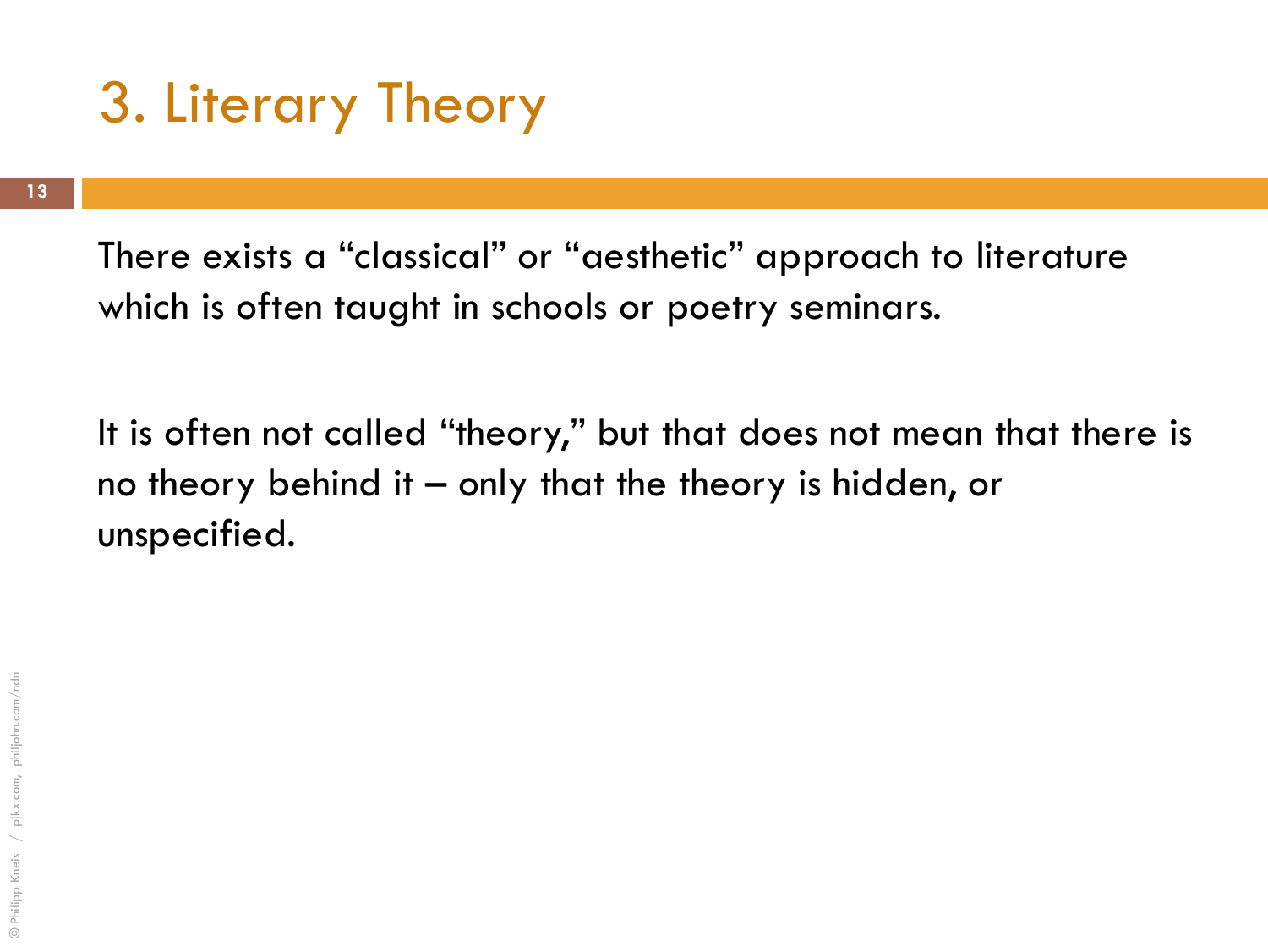### 3. Literary Theory

There exists a "classical" or "aesthetic" approach to literature which is often taught in schools or poetry seminars.

It is often not called "theory," but that does not mean that there is no theory behind it – only that the theory is hidden, or unspecified.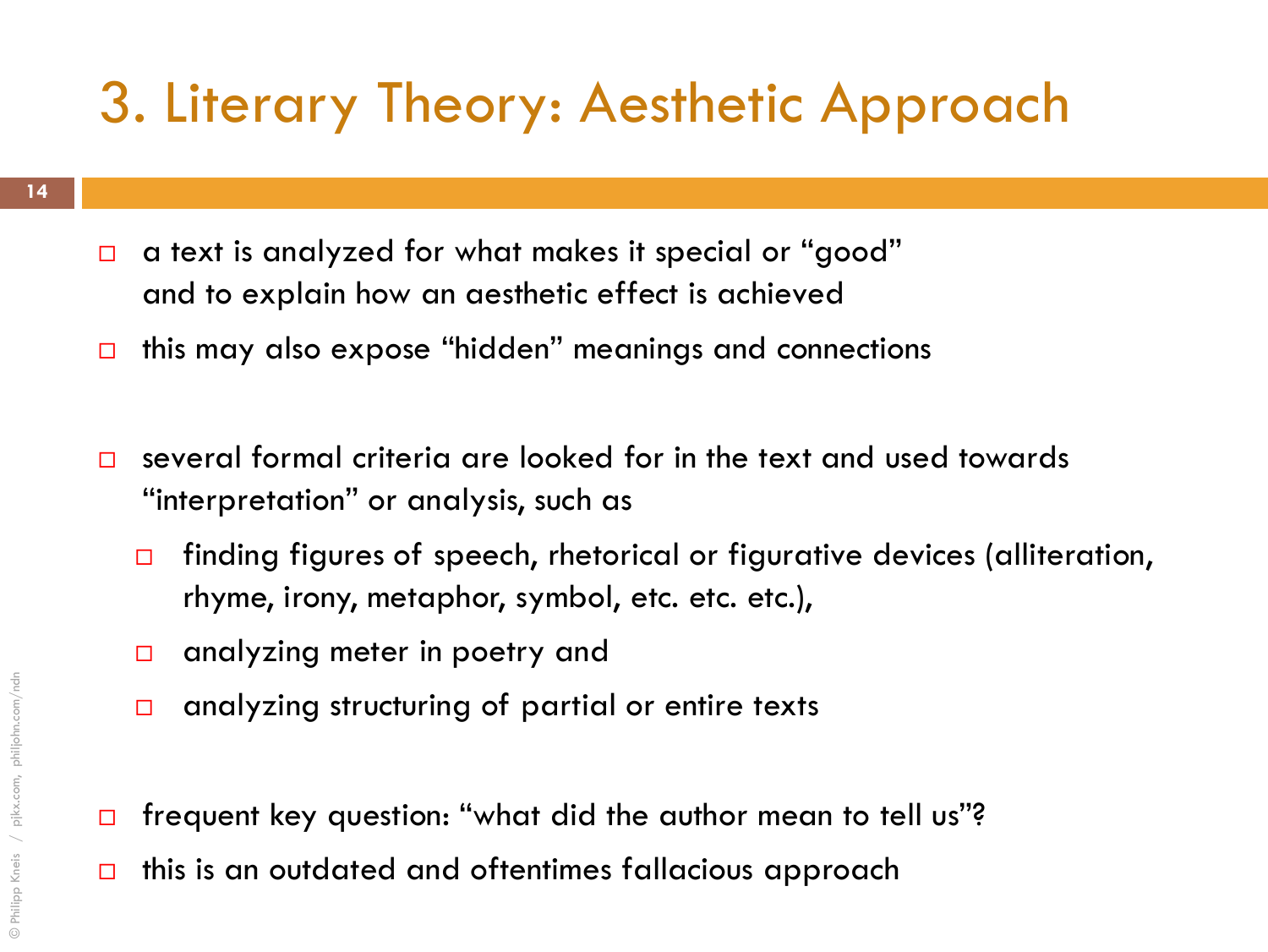### 3. Literary Theory: Aesthetic Approach

- □ a text is analyzed for what makes it special or "good" and to explain how an aesthetic effect is achieved
- $\Box$  this may also expose "hidden" meanings and connections
- $\square$  several formal criteria are looked for in the text and used towards "interpretation" or analysis, such as
	- $\Box$  finding figures of speech, rhetorical or figurative devices (alliteration, rhyme, irony, metaphor, symbol, etc. etc. etc.),
	- □ analyzing meter in poetry and
	- $\Box$  analyzing structuring of partial or entire texts
- □ frequent key question: "what did the author mean to tell us"?
- $\Box$  this is an outdated and oftentimes fallacious approach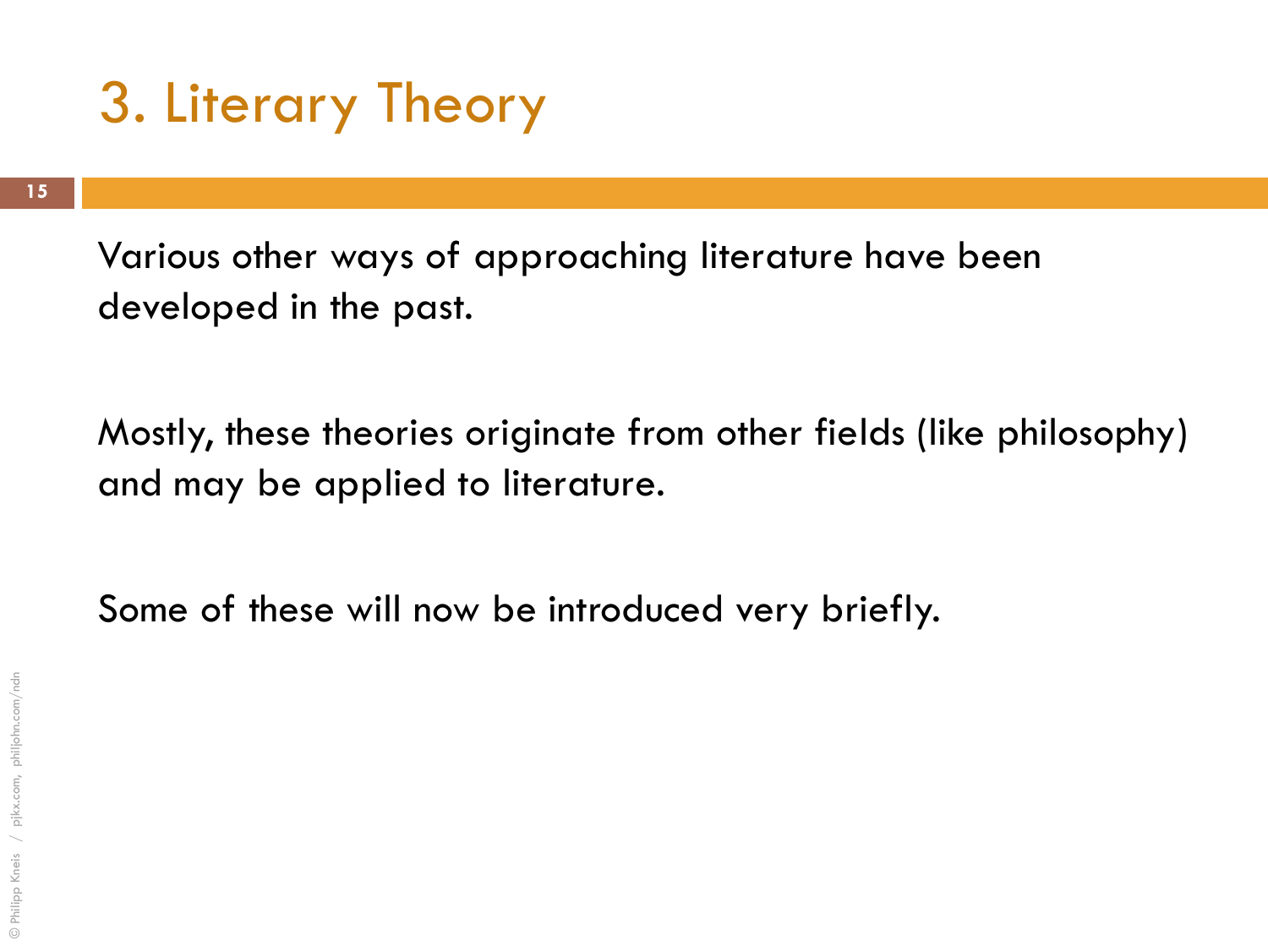### 3. Literary Theory

Various other ways of approaching literature have been developed in the past.

Mostly, these theories originate from other fields (like philosophy) and may be applied to literature.

Some of these will now be introduced very briefly.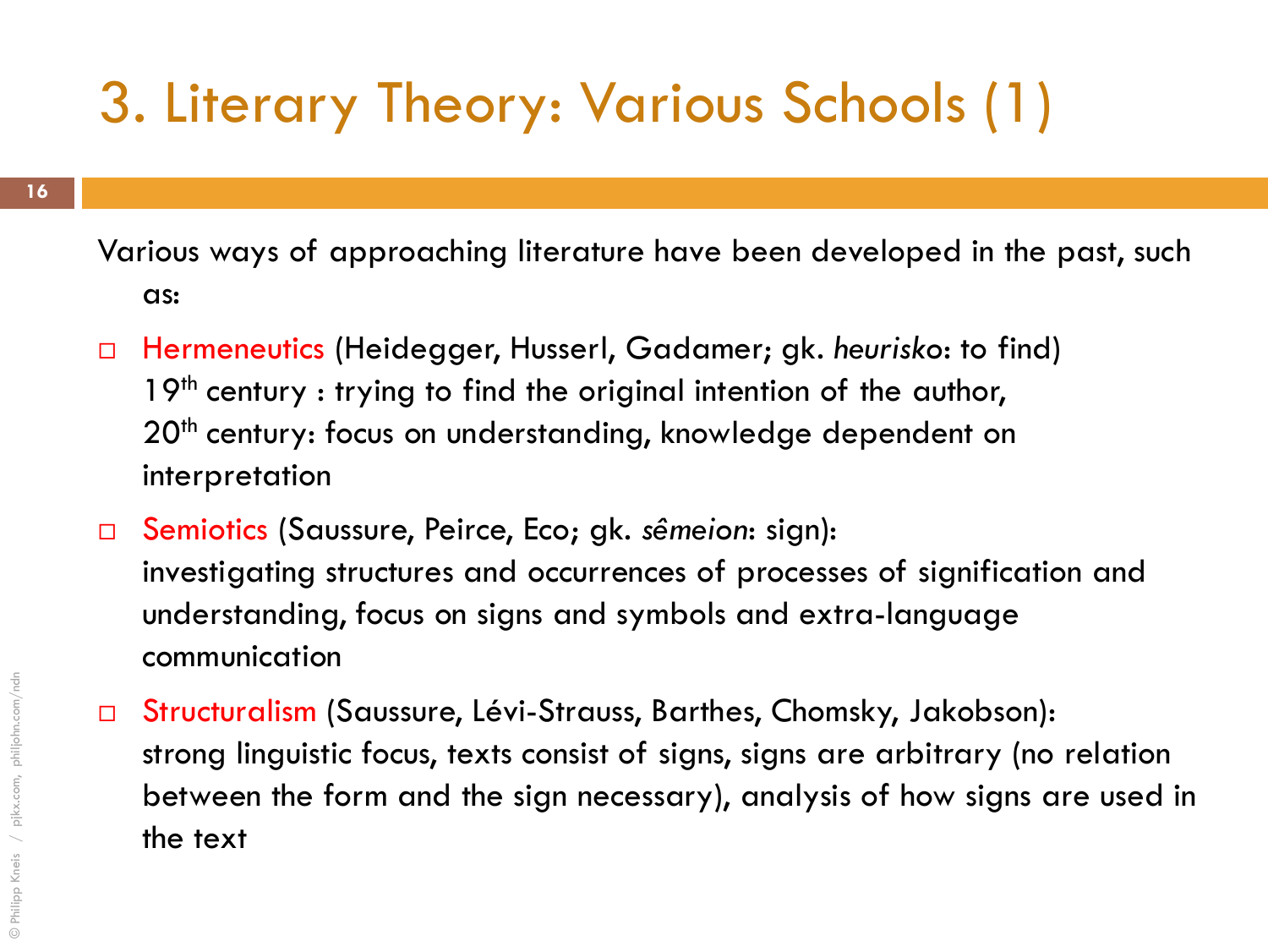# 3. Literary Theory: Various Schools (1)

Various ways of approaching literature have been developed in the past, such as:

- Hermeneutics (Heidegger, Husserl, Gadamer; gk. *heurisko*: to find) 19<sup>th</sup> century : trying to find the original intention of the author, 20<sup>th</sup> century: focus on understanding, knowledge dependent on interpretation
- Semiotics (Saussure, Peirce, Eco; gk. *sêmeion*: sign): investigating structures and occurrences of processes of signification and understanding, focus on signs and symbols and extra-language communication
- Structuralism (Saussure, Lévi-Strauss, Barthes, Chomsky, Jakobson): strong linguistic focus, texts consist of signs, signs are arbitrary (no relation between the form and the sign necessary), analysis of how signs are used in the text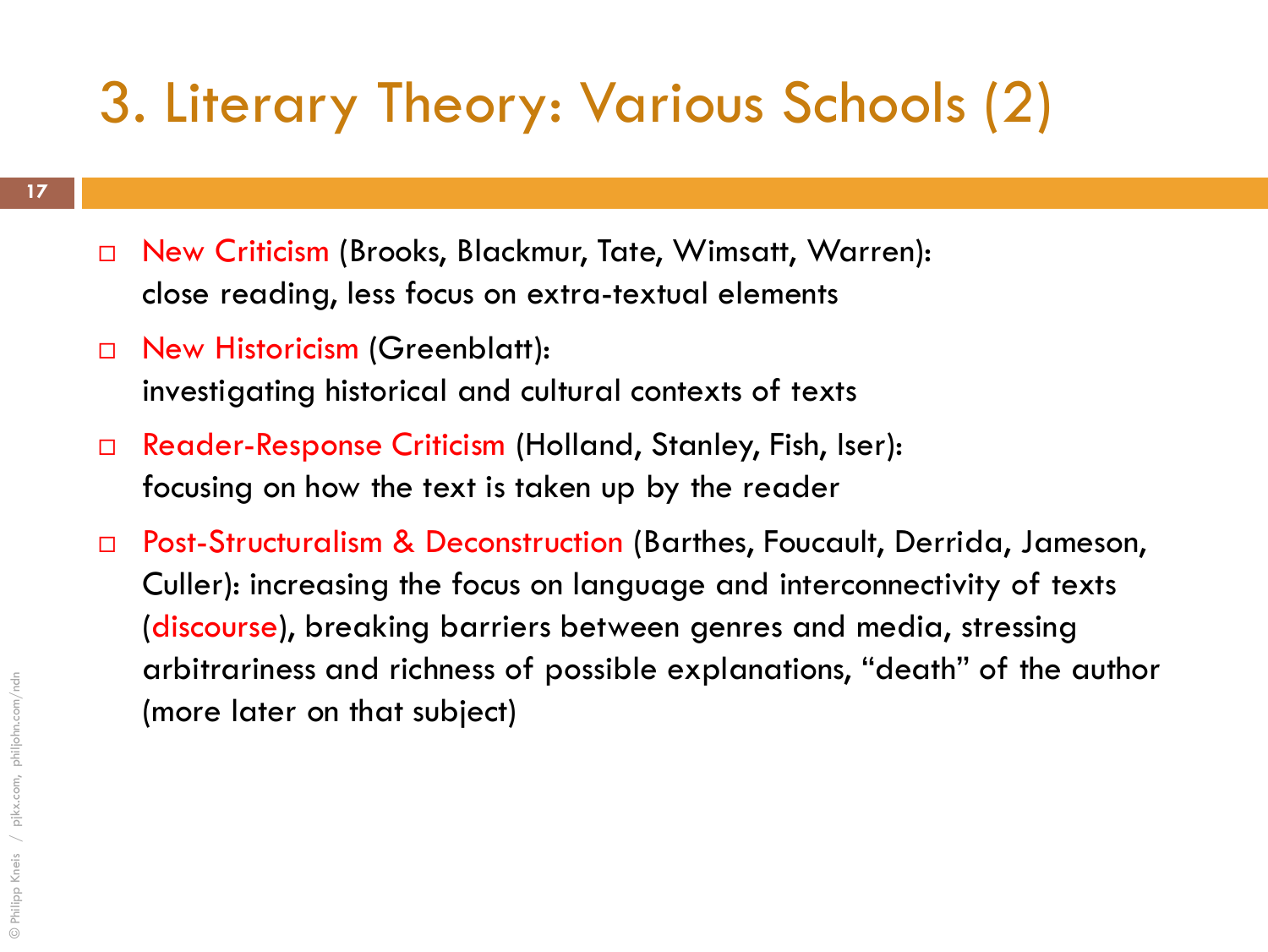# 3. Literary Theory: Various Schools (2)

- □ New Criticism (Brooks, Blackmur, Tate, Wimsatt, Warren): close reading, less focus on extra-textual elements
- □ New Historicism (Greenblatt): investigating historical and cultural contexts of texts
- Reader-Response Criticism (Holland, Stanley, Fish, Iser): focusing on how the text is taken up by the reader
- □ Post-Structuralism & Deconstruction (Barthes, Foucault, Derrida, Jameson, Culler): increasing the focus on language and interconnectivity of texts (discourse), breaking barriers between genres and media, stressing arbitrariness and richness of possible explanations, "death" of the author (more later on that subject)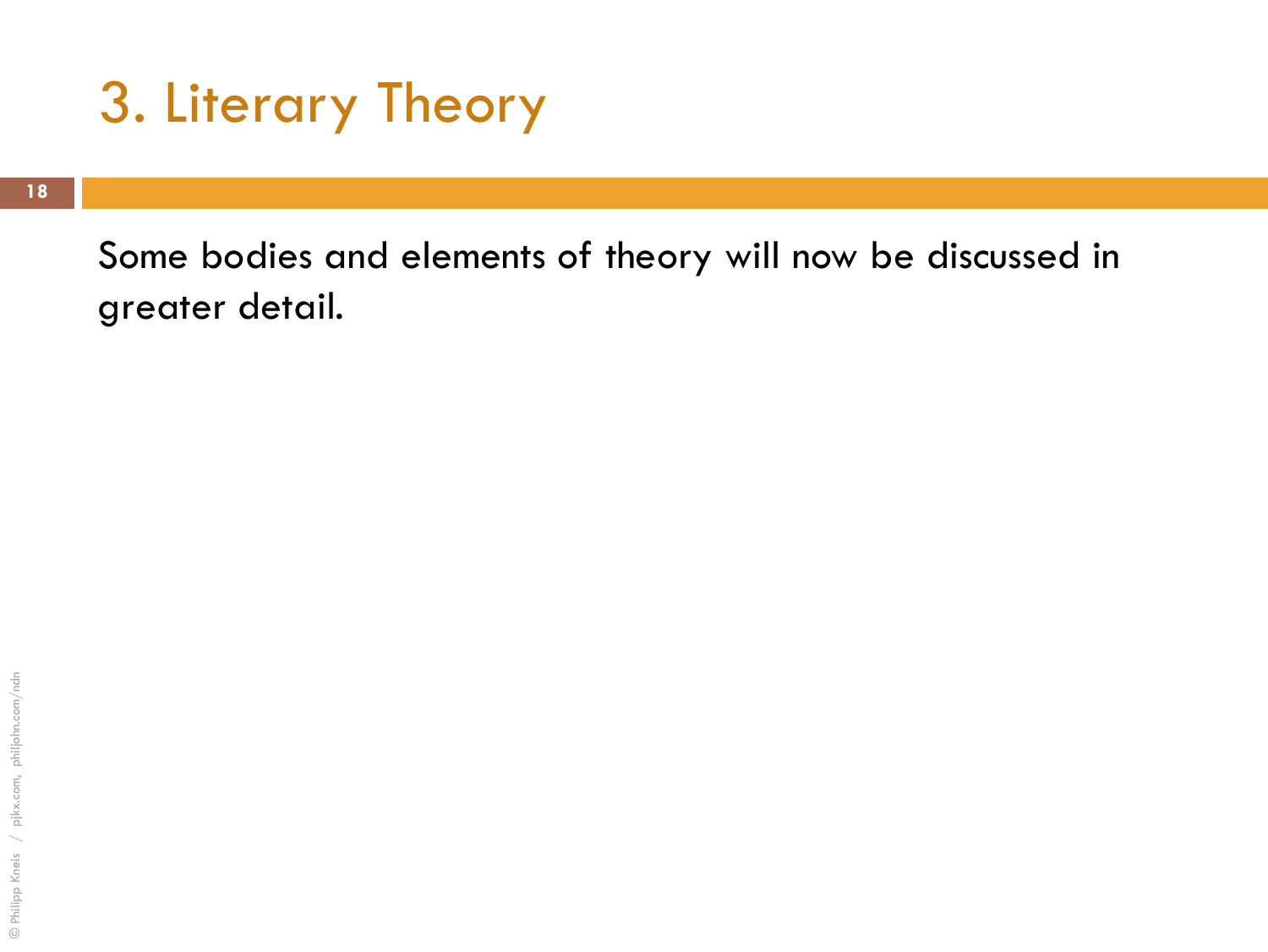### 3. Literary Theory

Some bodies and elements of theory will now be discussed in greater detail.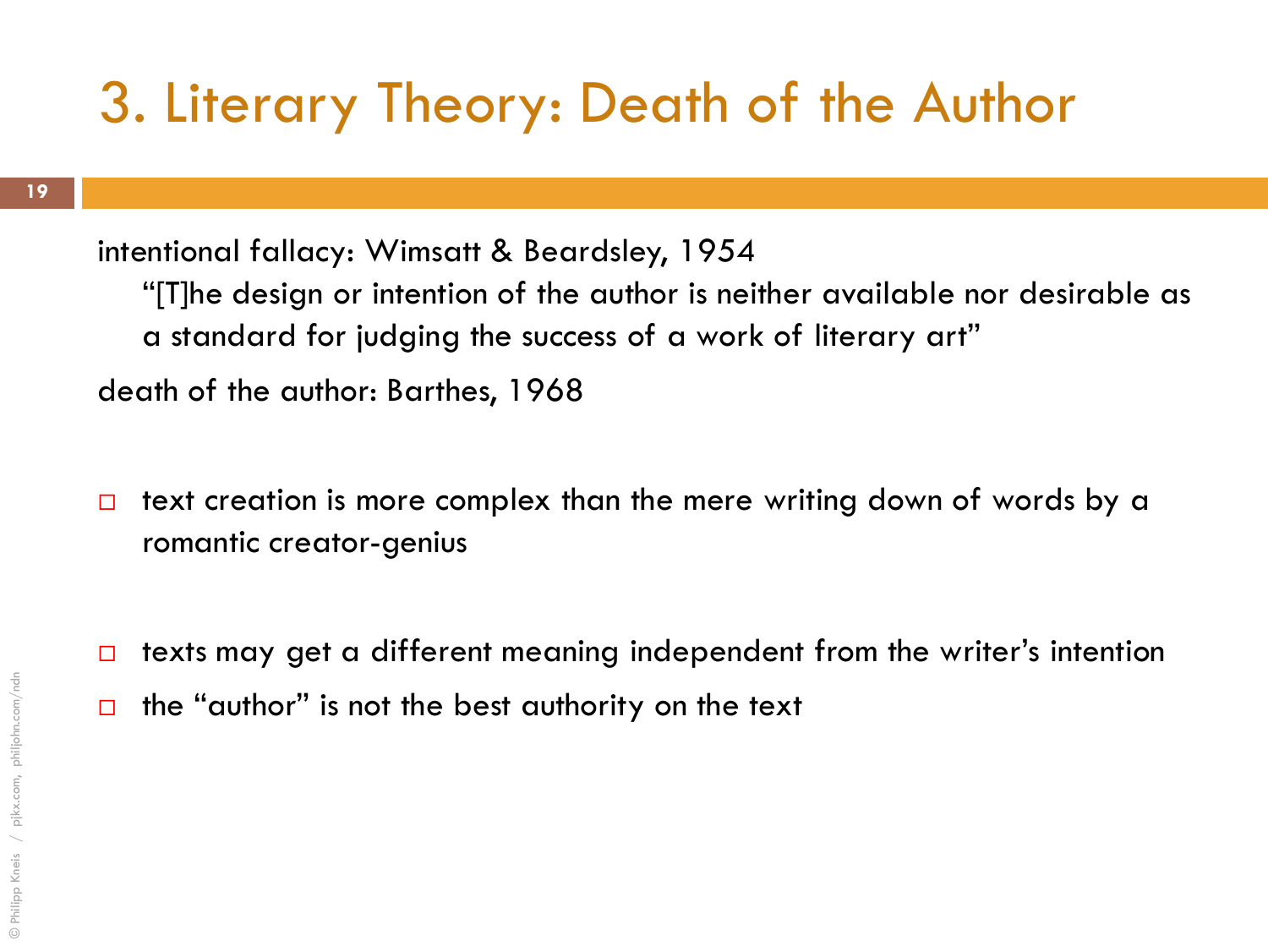### 3. Literary Theory: Death of the Author

intentional fallacy: Wimsatt & Beardsley, 1954 "[T]he design or intention of the author is neither available nor desirable as a standard for judging the success of a work of literary art" death of the author: Barthes, 1968

- $\Box$  text creation is more complex than the mere writing down of words by a romantic creator-genius
- $\Box$  texts may get a different meaning independent from the writer's intention
- $\Box$  the "author" is not the best authority on the text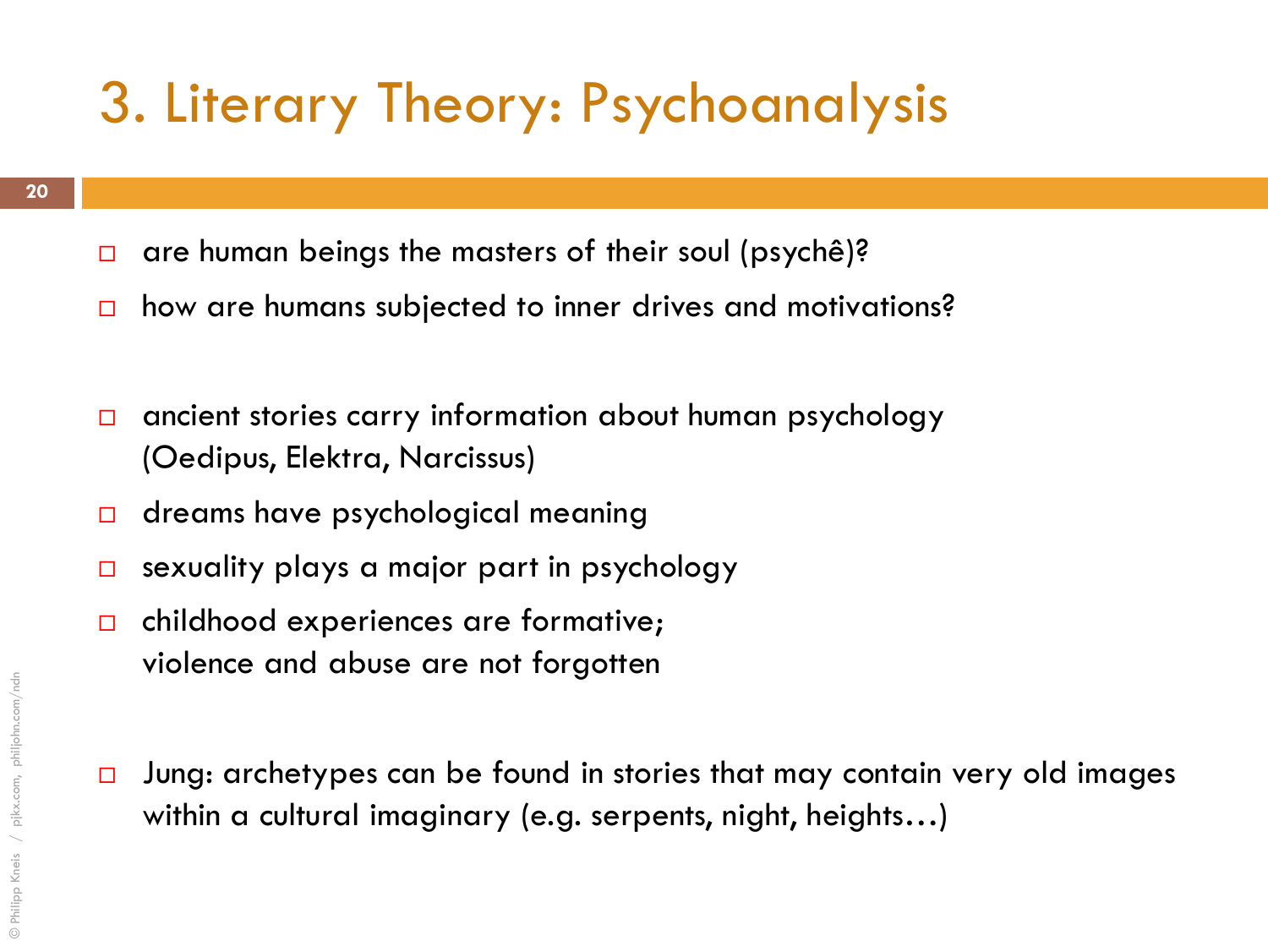### 3. Literary Theory: Psychoanalysis

- $\Box$  are human beings the masters of their soul (psychê)?
- □ how are humans subjected to inner drives and motivations?
- □ ancient stories carry information about human psychology (Oedipus, Elektra, Narcissus)
- $\Box$  dreams have psychological meaning
- $\square$  sexuality plays a major part in psychology
- $\Box$  childhood experiences are formative; violence and abuse are not forgotten
- $\Box$  Jung: archetypes can be found in stories that may contain very old images within a cultural imaginary (e.g. serpents, night, heights…)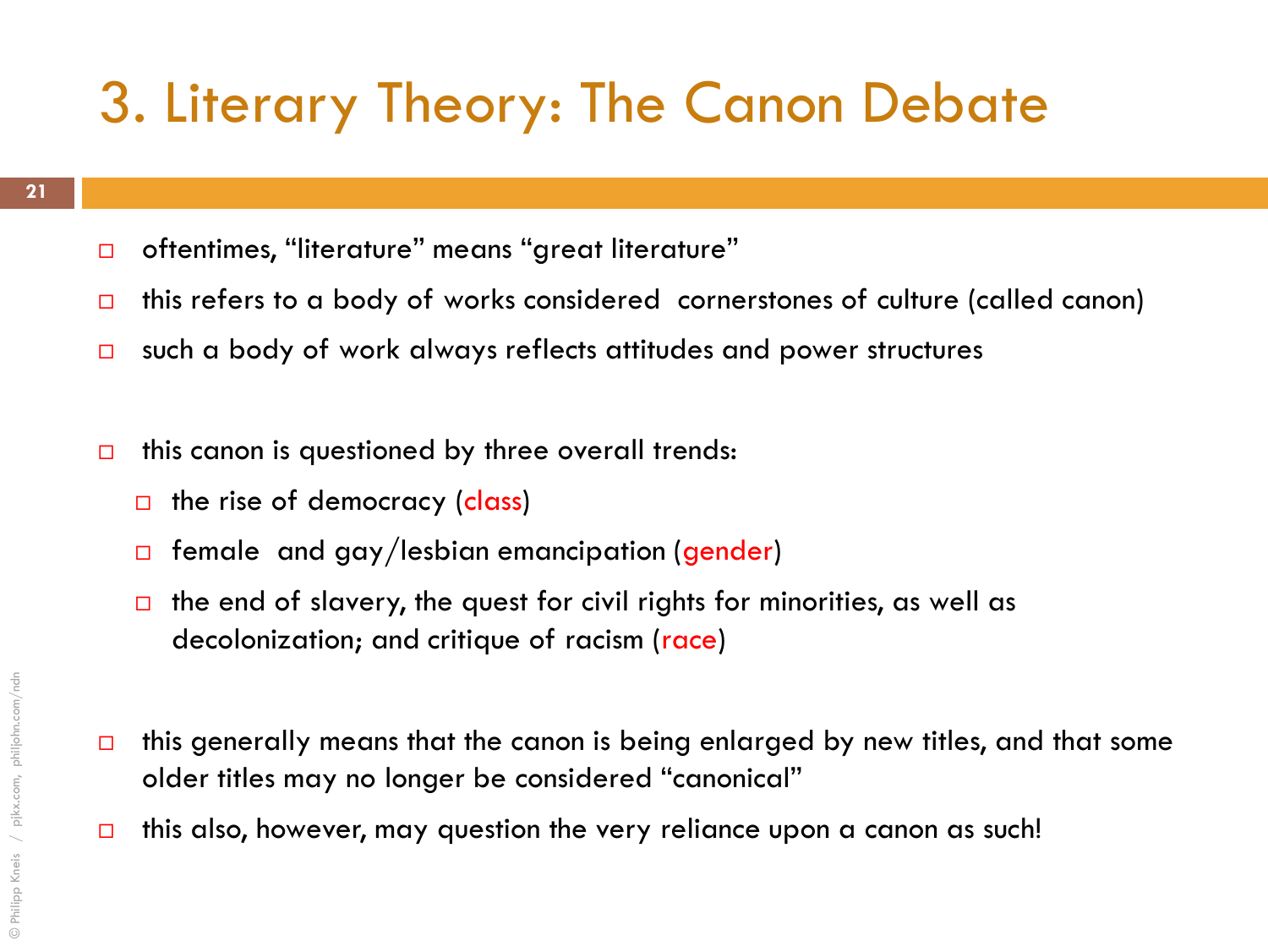### 3. Literary Theory: The Canon Debate

- □ oftentimes, "literature" means "great literature"
- $\Box$  this refers to a body of works considered cornerstones of culture (called canon)
- $\Box$  such a body of work always reflects attitudes and power structures
- $\Box$  this canon is questioned by three overall trends:
	- $\Box$  the rise of democracy (class)
	- $\Box$  female and gay/lesbian emancipation (gender)
	- $\Box$  the end of slavery, the quest for civil rights for minorities, as well as decolonization; and critique of racism (race)
- $\Box$  this generally means that the canon is being enlarged by new titles, and that some older titles may no longer be considered "canonical"
- $\Box$  this also, however, may question the very reliance upon a canon as such!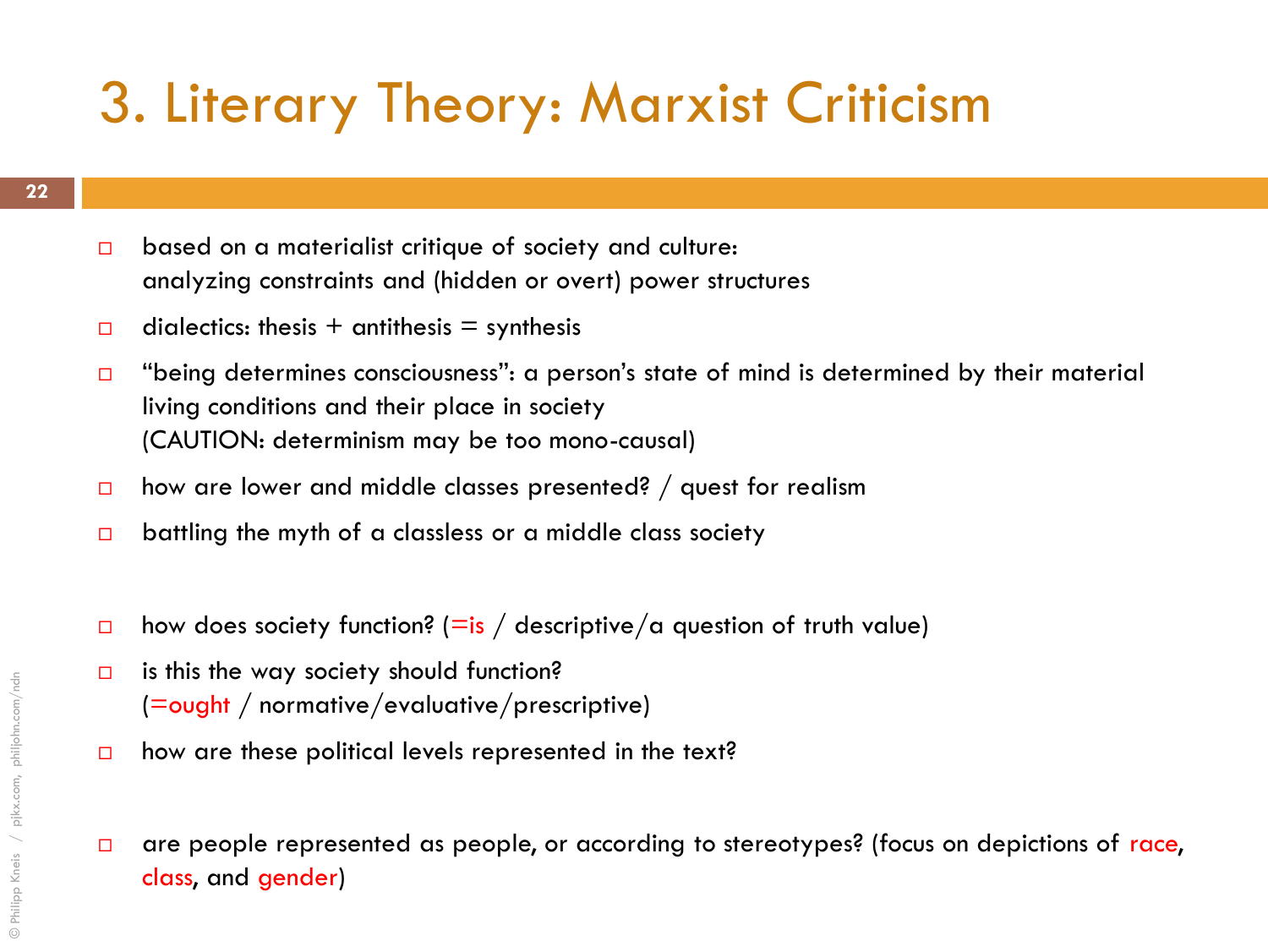### 3. Literary Theory: Marxist Criticism

- $\Box$  based on a materialist critique of society and culture: analyzing constraints and (hidden or overt) power structures
- dialectics: thesis + antithesis = synthesis
- $\Box$  "being determines consciousness": a person's state of mind is determined by their material living conditions and their place in society (CAUTION: determinism may be too mono-causal)
- $\Box$  how are lower and middle classes presented? / quest for realism
- $\Box$  battling the myth of a classless or a middle class society
- how does society function? (=is / descriptive/a question of truth value)
- $\Box$  is this the way society should function? (=ought / normative/evaluative/prescriptive)
- $\Box$  how are these political levels represented in the text?
- $\Box$  are people represented as people, or according to stereotypes? (focus on depictions of race, class, and gender)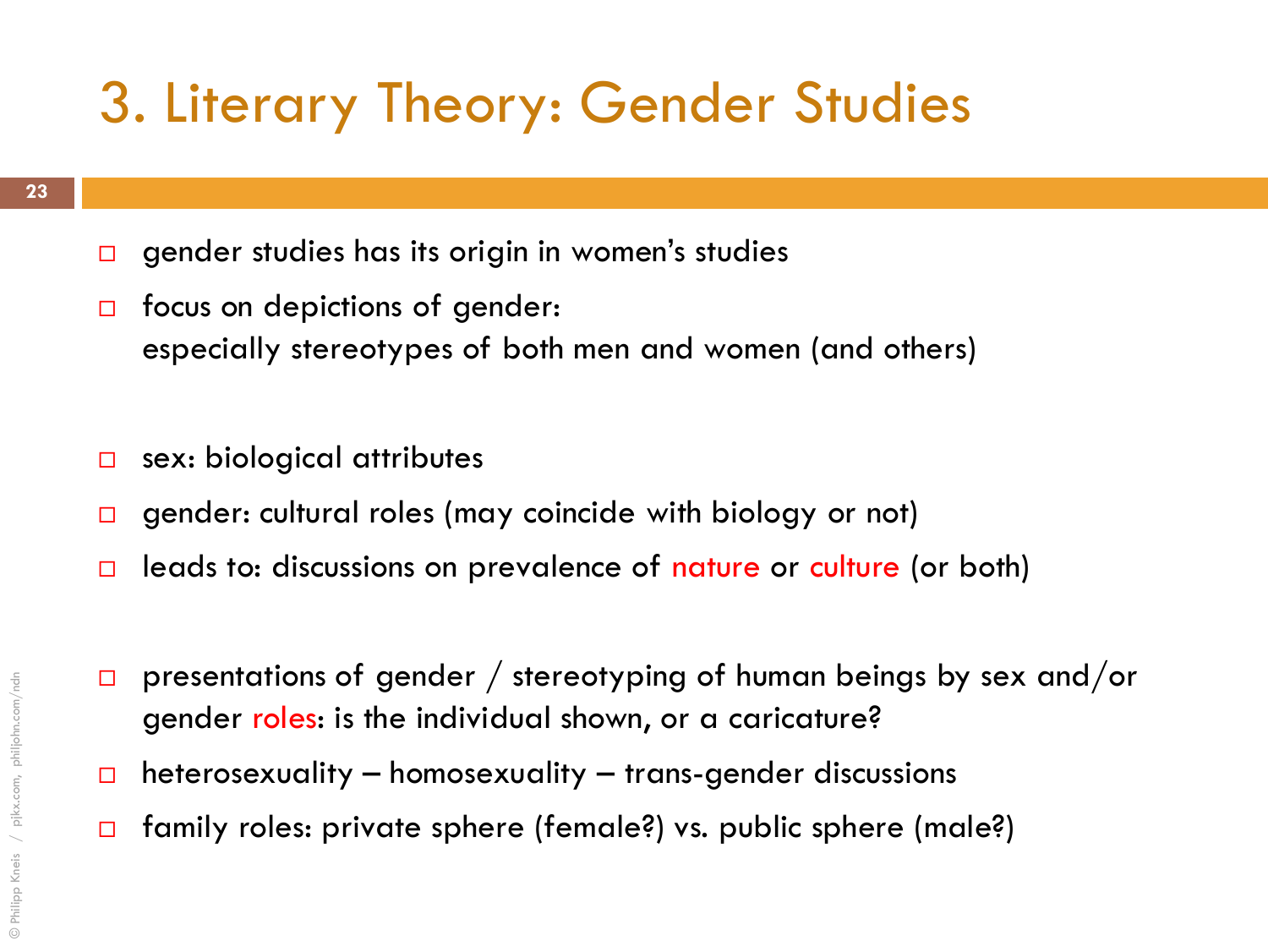### 3. Literary Theory: Gender Studies

- $\square$  gender studies has its origin in women's studies
- $\Box$  focus on depictions of gender: especially stereotypes of both men and women (and others)
- $\Box$  sex: biological attributes
- □ gender: cultural roles (may coincide with biology or not)
- $\Box$  leads to: discussions on prevalence of nature or culture (or both)
- $\Box$  presentations of gender / stereotyping of human beings by sex and/or gender roles: is the individual shown, or a caricature?
- $\Box$  heterosexuality homosexuality trans-gender discussions
- □ family roles: private sphere (female?) vs. public sphere (male?)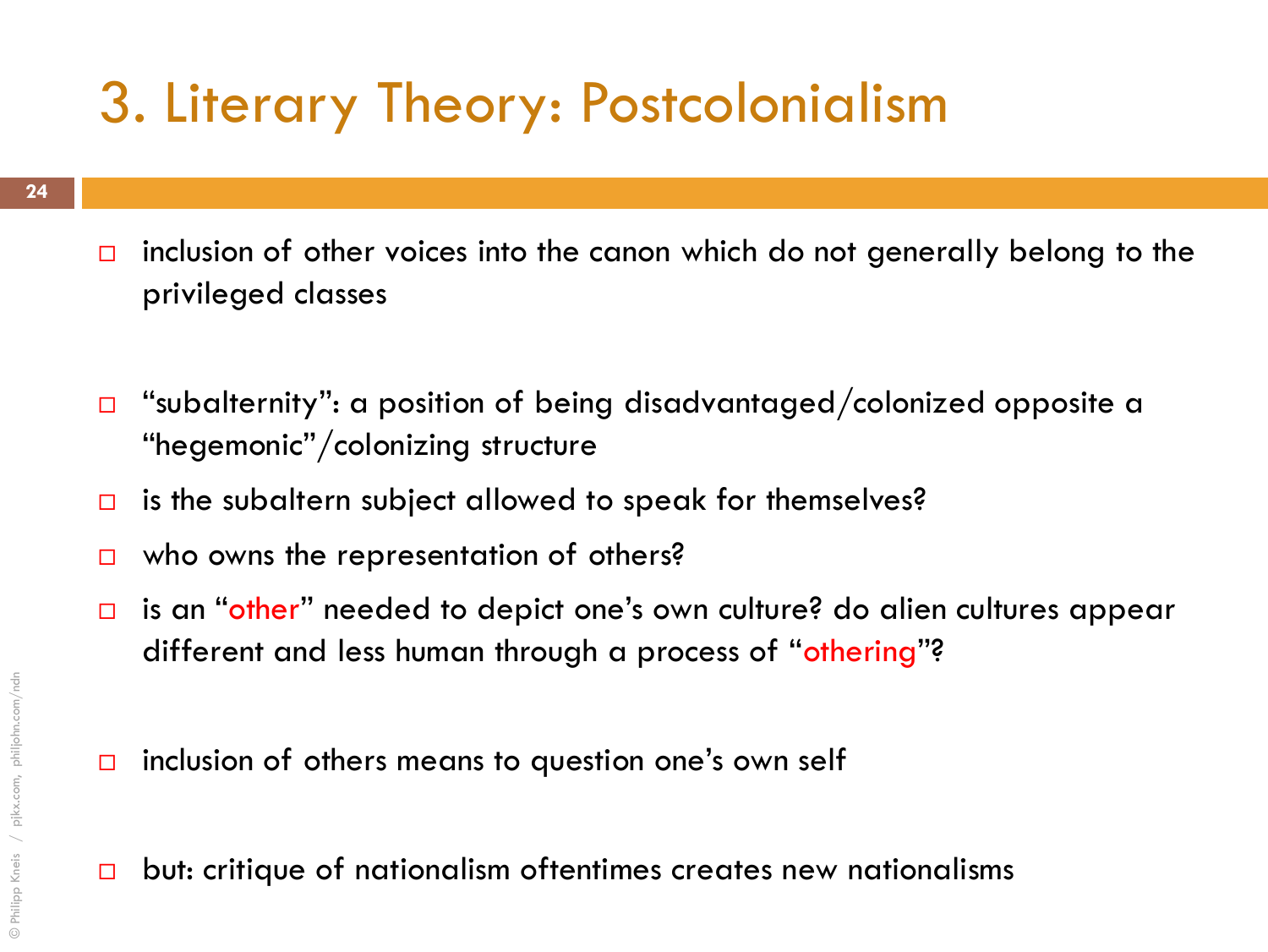### 3. Literary Theory: Postcolonialism

- $\Box$  inclusion of other voices into the canon which do not generally belong to the privileged classes
- $\Box$  "subalternity": a position of being disadvantaged/colonized opposite a "hegemonic"/colonizing structure
- $\Box$  is the subaltern subject allowed to speak for themselves?
- $\Box$  who owns the representation of others?
- □ is an "other" needed to depict one's own culture? do alien cultures appear different and less human through a process of "othering"?
- $\Box$  inclusion of others means to question one's own self
- $\Box$  but: critique of nationalism oftentimes creates new nationalisms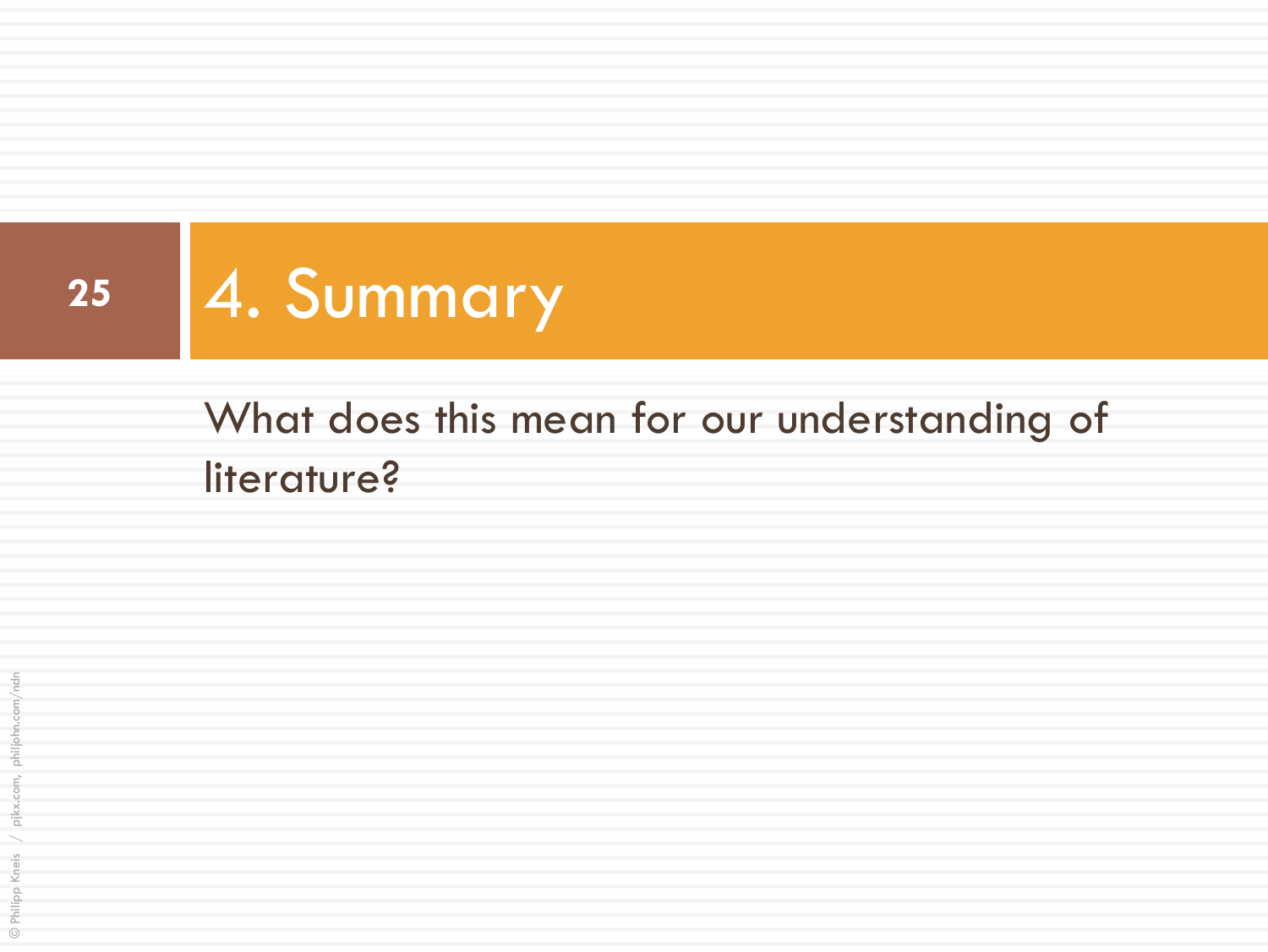

### What does this mean for our understanding of literature?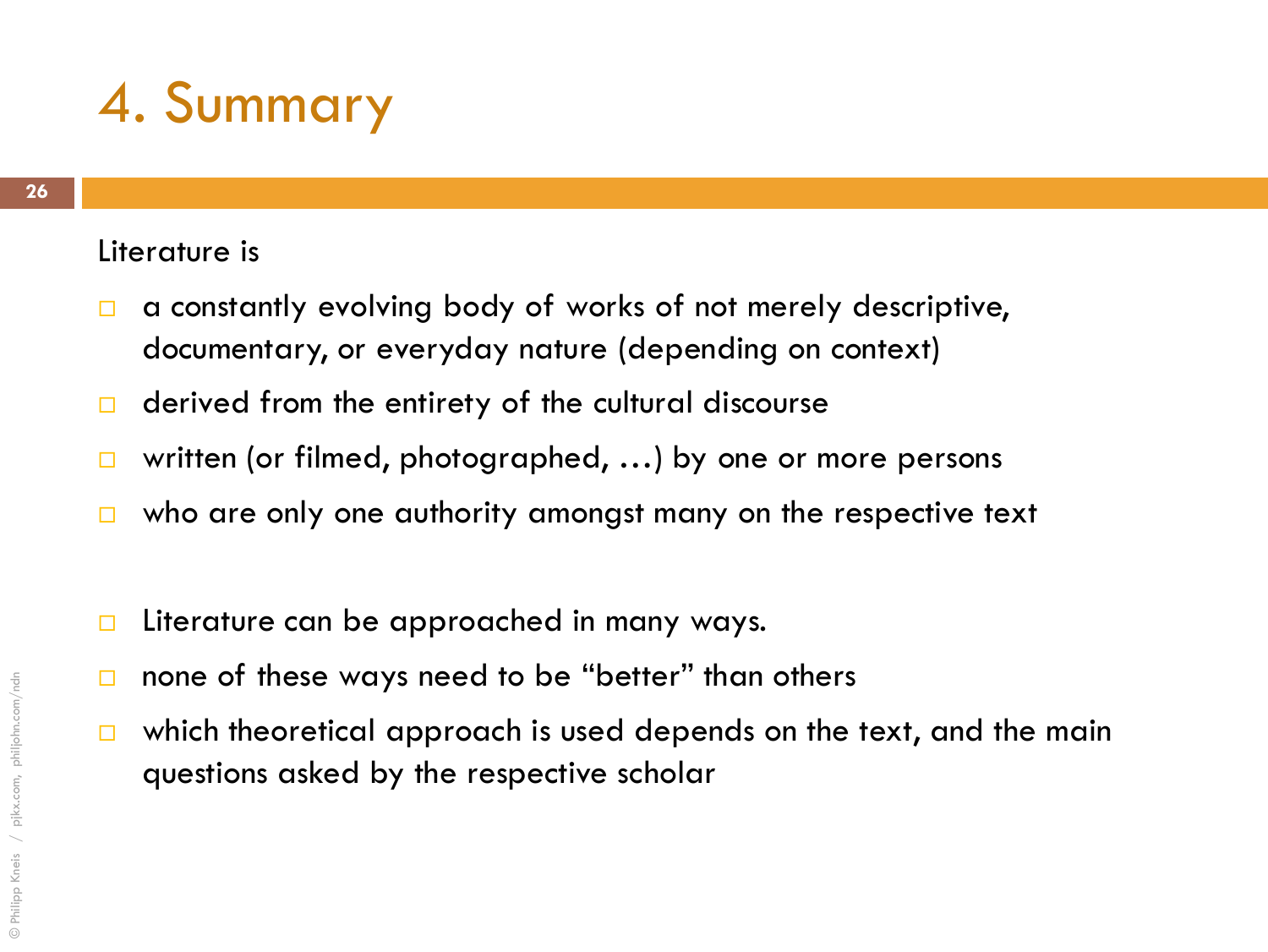### 4. Summary

#### Literature is

- □ a constantly evolving body of works of not merely descriptive, documentary, or everyday nature (depending on context)
- $\Box$  derived from the entirety of the cultural discourse
- □ written (or filmed, photographed, ...) by one or more persons
- $\Box$  who are only one authority amongst many on the respective text
- $\Box$  Literature can be approached in many ways.
- $\Box$  none of these ways need to be "better" than others
- $\Box$  which theoretical approach is used depends on the text, and the main questions asked by the respective scholar